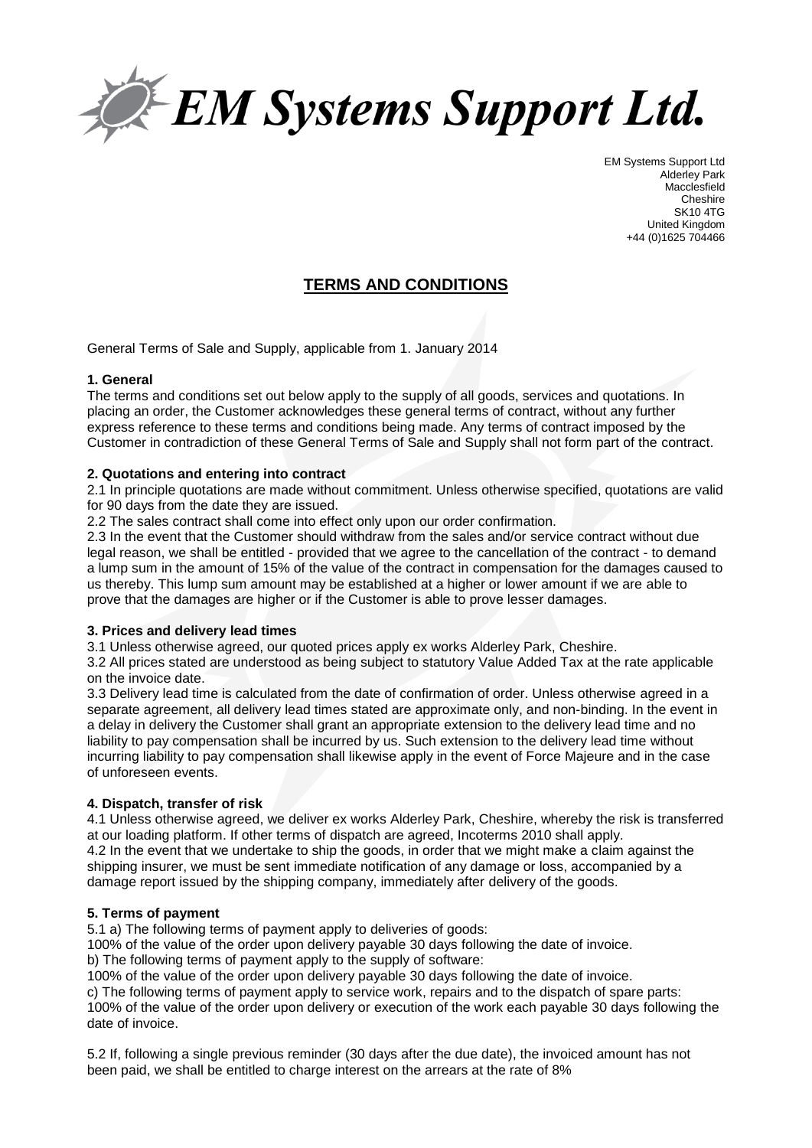

EM Systems Support Ltd Alderley Park **Macclesfield** Cheshire SK10 4TG United Kingdom +44 (0)1625 704466

# **TERMS AND CONDITIONS**

General Terms of Sale and Supply, applicable from 1. January 2014

## **1. General**

The terms and conditions set out below apply to the supply of all goods, services and quotations. In placing an order, the Customer acknowledges these general terms of contract, without any further express reference to these terms and conditions being made. Any terms of contract imposed by the Customer in contradiction of these General Terms of Sale and Supply shall not form part of the contract.

## **2. Quotations and entering into contract**

2.1 In principle quotations are made without commitment. Unless otherwise specified, quotations are valid for 90 days from the date they are issued.

2.2 The sales contract shall come into effect only upon our order confirmation.

2.3 In the event that the Customer should withdraw from the sales and/or service contract without due legal reason, we shall be entitled - provided that we agree to the cancellation of the contract - to demand a lump sum in the amount of 15% of the value of the contract in compensation for the damages caused to us thereby. This lump sum amount may be established at a higher or lower amount if we are able to prove that the damages are higher or if the Customer is able to prove lesser damages.

# **3. Prices and delivery lead times**

3.1 Unless otherwise agreed, our quoted prices apply ex works Alderley Park, Cheshire.

3.2 All prices stated are understood as being subject to statutory Value Added Tax at the rate applicable on the invoice date.

3.3 Delivery lead time is calculated from the date of confirmation of order. Unless otherwise agreed in a separate agreement, all delivery lead times stated are approximate only, and non-binding. In the event in a delay in delivery the Customer shall grant an appropriate extension to the delivery lead time and no liability to pay compensation shall be incurred by us. Such extension to the delivery lead time without incurring liability to pay compensation shall likewise apply in the event of Force Majeure and in the case of unforeseen events.

## **4. Dispatch, transfer of risk**

4.1 Unless otherwise agreed, we deliver ex works Alderley Park, Cheshire, whereby the risk is transferred at our loading platform. If other terms of dispatch are agreed, Incoterms 2010 shall apply. 4.2 In the event that we undertake to ship the goods, in order that we might make a claim against the shipping insurer, we must be sent immediate notification of any damage or loss, accompanied by a damage report issued by the shipping company, immediately after delivery of the goods.

# **5. Terms of payment**

5.1 a) The following terms of payment apply to deliveries of goods:

100% of the value of the order upon delivery payable 30 days following the date of invoice.

b) The following terms of payment apply to the supply of software:

100% of the value of the order upon delivery payable 30 days following the date of invoice.

c) The following terms of payment apply to service work, repairs and to the dispatch of spare parts:

100% of the value of the order upon delivery or execution of the work each payable 30 days following the date of invoice.

5.2 If, following a single previous reminder (30 days after the due date), the invoiced amount has not been paid, we shall be entitled to charge interest on the arrears at the rate of 8%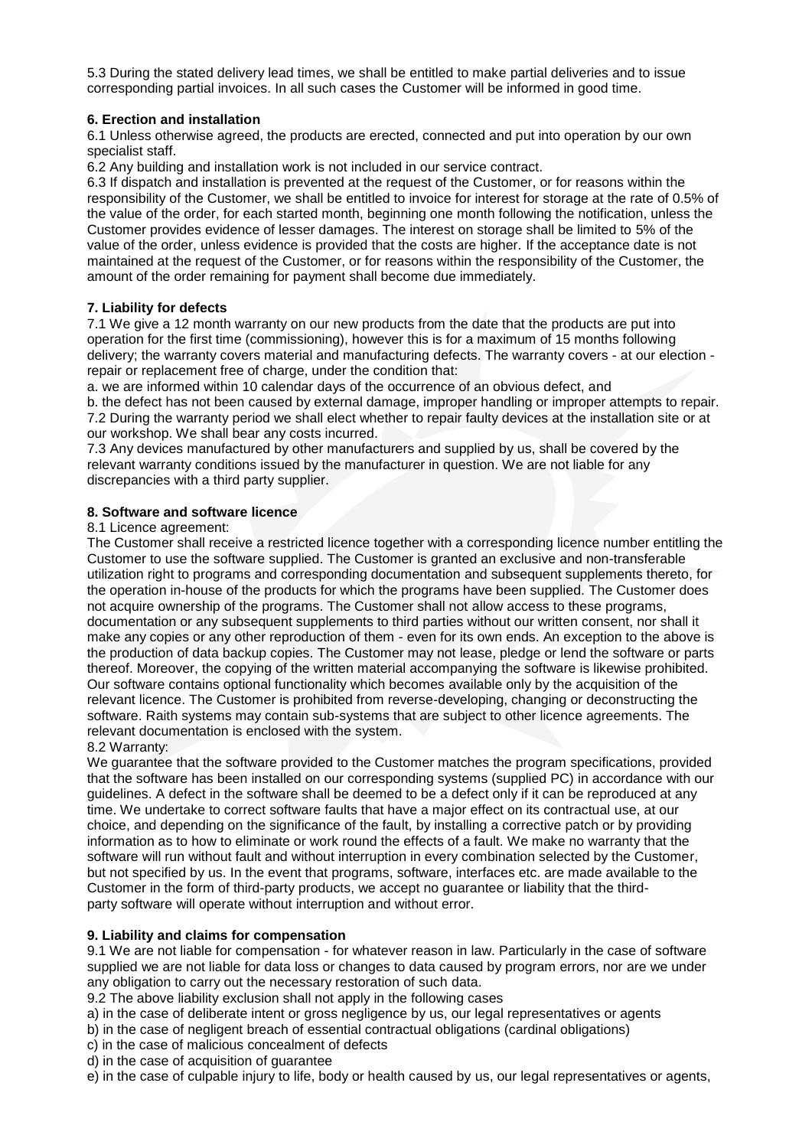5.3 During the stated delivery lead times, we shall be entitled to make partial deliveries and to issue corresponding partial invoices. In all such cases the Customer will be informed in good time.

# **6. Erection and installation**

6.1 Unless otherwise agreed, the products are erected, connected and put into operation by our own specialist staff.

6.2 Any building and installation work is not included in our service contract.

6.3 If dispatch and installation is prevented at the request of the Customer, or for reasons within the responsibility of the Customer, we shall be entitled to invoice for interest for storage at the rate of 0.5% of the value of the order, for each started month, beginning one month following the notification, unless the Customer provides evidence of lesser damages. The interest on storage shall be limited to 5% of the value of the order, unless evidence is provided that the costs are higher. If the acceptance date is not maintained at the request of the Customer, or for reasons within the responsibility of the Customer, the amount of the order remaining for payment shall become due immediately.

## **7. Liability for defects**

7.1 We give a 12 month warranty on our new products from the date that the products are put into operation for the first time (commissioning), however this is for a maximum of 15 months following delivery; the warranty covers material and manufacturing defects. The warranty covers - at our election repair or replacement free of charge, under the condition that:

a. we are informed within 10 calendar days of the occurrence of an obvious defect, and b. the defect has not been caused by external damage, improper handling or improper attempts to repair. 7.2 During the warranty period we shall elect whether to repair faulty devices at the installation site or at our workshop. We shall bear any costs incurred.

7.3 Any devices manufactured by other manufacturers and supplied by us, shall be covered by the relevant warranty conditions issued by the manufacturer in question. We are not liable for any discrepancies with a third party supplier.

## **8. Software and software licence**

## 8.1 Licence agreement:

The Customer shall receive a restricted licence together with a corresponding licence number entitling the Customer to use the software supplied. The Customer is granted an exclusive and non-transferable utilization right to programs and corresponding documentation and subsequent supplements thereto, for the operation in-house of the products for which the programs have been supplied. The Customer does not acquire ownership of the programs. The Customer shall not allow access to these programs, documentation or any subsequent supplements to third parties without our written consent, nor shall it make any copies or any other reproduction of them - even for its own ends. An exception to the above is the production of data backup copies. The Customer may not lease, pledge or lend the software or parts thereof. Moreover, the copying of the written material accompanying the software is likewise prohibited. Our software contains optional functionality which becomes available only by the acquisition of the relevant licence. The Customer is prohibited from reverse-developing, changing or deconstructing the software. Raith systems may contain sub-systems that are subject to other licence agreements. The relevant documentation is enclosed with the system.

8.2 Warranty:

We guarantee that the software provided to the Customer matches the program specifications, provided that the software has been installed on our corresponding systems (supplied PC) in accordance with our guidelines. A defect in the software shall be deemed to be a defect only if it can be reproduced at any time. We undertake to correct software faults that have a major effect on its contractual use, at our choice, and depending on the significance of the fault, by installing a corrective patch or by providing information as to how to eliminate or work round the effects of a fault. We make no warranty that the software will run without fault and without interruption in every combination selected by the Customer, but not specified by us. In the event that programs, software, interfaces etc. are made available to the Customer in the form of third-party products, we accept no guarantee or liability that the thirdparty software will operate without interruption and without error.

## **9. Liability and claims for compensation**

9.1 We are not liable for compensation - for whatever reason in law. Particularly in the case of software supplied we are not liable for data loss or changes to data caused by program errors, nor are we under any obligation to carry out the necessary restoration of such data.

9.2 The above liability exclusion shall not apply in the following cases

a) in the case of deliberate intent or gross negligence by us, our legal representatives or agents

b) in the case of negligent breach of essential contractual obligations (cardinal obligations)

- c) in the case of malicious concealment of defects
- d) in the case of acquisition of guarantee

e) in the case of culpable injury to life, body or health caused by us, our legal representatives or agents,